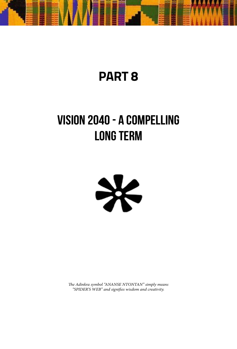

## **PART 8**

## **VISION 2040 - A COMPELLING LONG TERM**



*The Adinkra symbol "ANANSE NTONTAN" simply means "SPIDER'S WEB" and signifies wisdom and creativity.*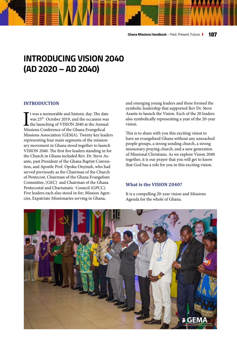### **INTRODUCING VISION 2040 (AD 2020 – AD 2040)**

#### **INTRODUCTION**

 $\prod$ t was a memorable and historic day. The dat was 25<sup>th</sup> October 2019, and the occasion was the launching of VISION 2040 at the Annua Missions Conference of the Ghana Evangelical t was a memorable and historic day. The date was 25th October 2019, and the occasion was the launching of VISION 2040 at the Annual Missions Association (GEMA). Twenty key leaders representing four main segments of the missionary movement in Ghana stood together to launch VISION 2040. The first five leaders standing in for the Church in Ghana included Rev. Dr. Steve Asante, past President of the Ghana Baptist Convention, and Apostle Prof. Opoku Onyinah, who had served previously as the Chairman of the Church of Pentecost, Chairman of the Ghana Evangelism Committee, (GEC) and Chairman of the Ghana Pentecostal and Charismatic Council (GPCC). Five leaders each also stood in for; Mission Agencies, Expatriate Missionaries serving in Ghana,

and emerging young leaders and these formed the symbolic leadership that supported Rev Dr. Steve Asante to launch the Vision. Each of the 20 leaders also symbolically representing a year of the 20-year vision.

This is to share with you this exciting vision to have an evangelized Ghana without any unreached people groups, a strong sending church, a strong missionary praying church, and a new generation of Missional Christians. As we explore Vision 2040 together, it is our prayer that you will get to know that God has a role for you in this exciting vision.

#### **What is the VISION 2040?**

It is a compelling 20-year vision and Missions Agenda for the whole of Ghana.

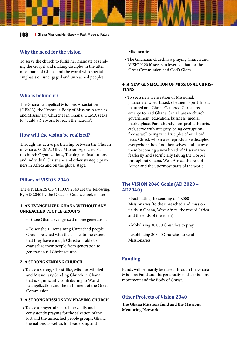#### **Why the need for the vision**

To serve the church to fulfill her mandate of sending the Gospel and making disciples in the uttermost parts of Ghana and the world with special emphasis on unengaged and unreached peoples.

#### **Who is behind it?**

The Ghana Evangelical Missions Association (GEMA), the Umbrella Body of Mission Agencies and Missionary Churches in Ghana. GEMA seeks to "build a Network to reach the nations".

#### **How will the vision be realized?**

Through the active partnership between the Church in Ghana, GEMA, GEC, Mission Agencies, Para-church Organizations, Theological Institutions, and individual Christians and other strategic partners in Africa and on the global stage.

#### **Pillars of VISION 2040**

The 4 PILLARS OF VISION 2040 are the following. By AD 2040 by the Grace of God, we seek to see:

#### **1. AN EVANGELIZED GHANA WITHOUT ANY UNREACHED PEOPLE GROUPS**

• To see Ghana evangelized in one generation.

• To see the 19 remaining Unreached people Groups reached with the gospel to the extent that they have enough Christians able to evangelize their people from generation to generation till Christ returns.

#### **2. A STRONG SENDING CHURCH**

• To see a strong, Christ-like, Mission Minded and Missionary Sending Church in Ghana that is significantly contributing to World Evangelization and the fulfillment of the Great Commission

#### **3. A STRONG MISSIONARY PRAYING CHURCH**

• To see a Prayerful Church fervently and consistently praying for the salvation of the lost and the unreached people groups, Ghana, the nations as well as for Leadership and

**Missionaries** 

• The Ghanaian church is a praying Church and VISION 2040 seeks to leverage that for the Great Commission and God's Glory.

#### **4. A NEW GENERATION OF MISSIONAL CHRIS-TIANS**

• To see a new Generation of Missional, passionate, word-based, obedient, Spirit-filled, matured and Christ-Centered Christians emerge to lead Ghana, ( in all areas- church, government, education, business, media, marketplace, Para-church, non-profit, the arts, etc), serve with integrity, being corruptionfree as well being true Disciples of our Lord Jesus Christ, who make reproducible disciples everywhere they find themselves, and many of them becoming a new breed of Missionaries fearlessly and sacrificially taking the Gospel throughout Ghana, West Africa, the rest of Africa and the uttermost parts of the world.

#### **The VISION 2040 Goals (AD 2020 – AD2040)**

- Facilitating the sending of 30,000 Missionaries (to the unreached and mission fields in Ghana, West Africa, the rest of Africa and the ends of the earth)
- Mobilizing 30,000 Churches to pray
- Mobilizing 30,000 Churches to send Missionaries

#### **Funding**

Funds will primarily be raised through the Ghana Missions Fund and the generosity of the missions movement and the Body of Christ.

#### **Other Projects of Vision 2040**

**The Ghana Missions fund and the Missions Mentoring Network**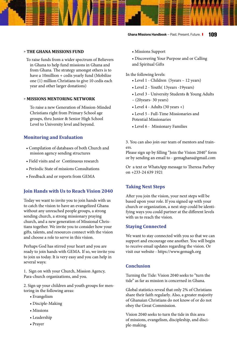#### » **THE GHANA MISSIONS FUND**

To raise funds from a wider spectrum of Believers in Ghana to help fund missions in Ghana and from Ghana. The strategy amongst others is to have a 10million + cedis yearly fund (Mobilize one (1) million Christians to give 10 cedis each year and other larger donations)

#### » **MISSIONS MENTORING NETWORK**

To raise a new Generation of Mission-Minded Christians right from Primary School age groups, thru Junior & Senior High School Level to University level and beyond.

#### **Monitoring and Evaluation**

- Compilation of databases of both Church and mission agency sending structures
- Field visits and or Continuous research
- Periodic State of missions Consultations
- Feedback and or reports from GEMA

#### **Join Hands with Us to Reach Vision 2040**

Today we want to invite you to join hands with us to catch the vision to have an evangelized Ghana without any unreached people groups, a strong sending church, a strong missionary praying church, and a new generation of Missional Christians together. We invite you to consider how your gifts, talents, and resources connect with the vision and choose a role to serve in this vision.

Perhaps God has stirred your heart and you are ready to join hands with GEMA. If so, we invite you to join us today. It is very easy and you can help in several ways:

1. Sign on with your Church, Mission Agency, Para-church organizations, and you.

2. Sign up your children and youth groups for mentoring in the following areas:

- Evangelism
- Disciple-Making
- Missions
- Leadership
- Prayer
- Missions Support
- Discovering Your Purpose and or Calling and Spiritual Gifts

In the following levels:

- Level 1 Children (5years 12 years)
- Level 2 Youth( 13years -19years)
- Level 3 University Students & Young Adults – (20years- 30 years)
- Level  $4$  Adults (30 years  $+)$
- Level 5 Full-Time Missionaries and Potential Missionaries
- Level 6 Missionary Families

3. You can also join our team of mentors and trainers.

Please sign up by filling "Join the Vision 2040" form or by sending an email to - gemaghana@gmail.com

Or a text or WhatsApp message to Theresa Parbey on +233-24 639 1921

#### **Taking Next Steps**

After you join the vision, your next steps will be based upon your role. If you signed up with your church or organization, a next step could be identifying ways you could partner at the different levels with us to reach the vision.

#### **Staying Connected**

We want to stay connected with you so that we can support and encourage one another. You will begin to receive email updates regarding the vision. Or visit our website - https://www.gemagh.org

#### **Conclusion**

Turning the Tide: Vision 2040 seeks to "turn the tide" as far as mission is concerned in Ghana.

Global statistics reveal that only 2% of Christians share their faith regularly. Also, a greater majority of Ghanaian Christians do not know of or do not obey the Great Commission.

Vision 2040 seeks to turn the tide in this area of missions, evangelism, discipleship, and disciple-making.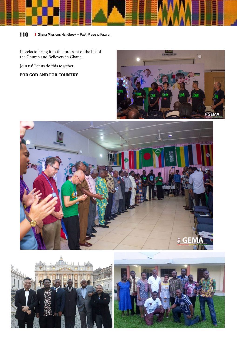

It seeks to bring it to the forefront of the life of the Church and Believers in Ghana.

Join us! Let us do this together!

**FOR GOD AND FOR COUNTRY**